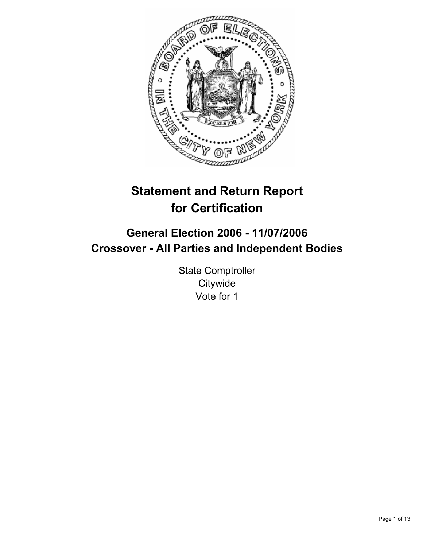

# **Statement and Return Report for Certification**

## **General Election 2006 - 11/07/2006 Crossover - All Parties and Independent Bodies**

State Comptroller **Citywide** Vote for 1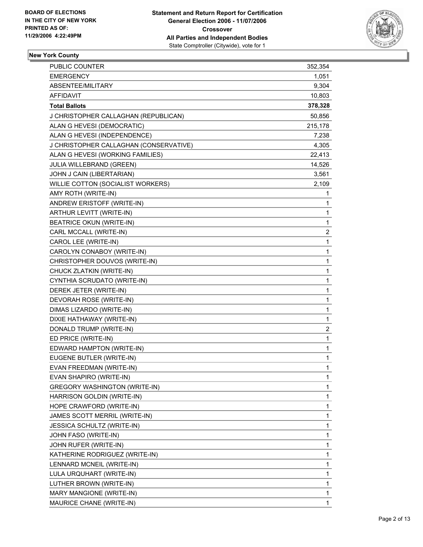

## **New York County**

| <b>PUBLIC COUNTER</b>                  | 352,354                 |  |
|----------------------------------------|-------------------------|--|
| <b>EMERGENCY</b>                       | 1,051                   |  |
| ABSENTEE/MILITARY                      | 9,304                   |  |
| AFFIDAVIT                              | 10,803                  |  |
| <b>Total Ballots</b>                   | 378,328                 |  |
| J CHRISTOPHER CALLAGHAN (REPUBLICAN)   | 50,856                  |  |
| ALAN G HEVESI (DEMOCRATIC)             | 215,178                 |  |
| ALAN G HEVESI (INDEPENDENCE)           | 7,238                   |  |
| J CHRISTOPHER CALLAGHAN (CONSERVATIVE) | 4,305                   |  |
| ALAN G HEVESI (WORKING FAMILIES)       | 22,413                  |  |
| JULIA WILLEBRAND (GREEN)               | 14,526                  |  |
| JOHN J CAIN (LIBERTARIAN)              | 3,561                   |  |
| WILLIE COTTON (SOCIALIST WORKERS)      | 2,109                   |  |
| AMY ROTH (WRITE-IN)                    | 1                       |  |
| ANDREW ERISTOFF (WRITE-IN)             | 1                       |  |
| ARTHUR LEVITT (WRITE-IN)               | 1                       |  |
| <b>BEATRICE OKUN (WRITE-IN)</b>        | $\mathbf{1}$            |  |
| CARL MCCALL (WRITE-IN)                 | 2                       |  |
| CAROL LEE (WRITE-IN)                   | 1                       |  |
| CAROLYN CONABOY (WRITE-IN)             | 1                       |  |
| CHRISTOPHER DOUVOS (WRITE-IN)          | 1                       |  |
| CHUCK ZLATKIN (WRITE-IN)               | 1                       |  |
| CYNTHIA SCRUDATO (WRITE-IN)            | 1                       |  |
| DEREK JETER (WRITE-IN)                 | 1                       |  |
| DEVORAH ROSE (WRITE-IN)                | 1                       |  |
| DIMAS LIZARDO (WRITE-IN)               | 1                       |  |
| DIXIE HATHAWAY (WRITE-IN)              | 1                       |  |
| DONALD TRUMP (WRITE-IN)                | $\overline{\mathbf{c}}$ |  |
| ED PRICE (WRITE-IN)                    | $\mathbf{1}$            |  |
| EDWARD HAMPTON (WRITE-IN)              | 1                       |  |
| EUGENE BUTLER (WRITE-IN)               | 1                       |  |
| EVAN FREEDMAN (WRITE-IN)               | 1                       |  |
| EVAN SHAPIRO (WRITE-IN)                | 1                       |  |
| <b>GREGORY WASHINGTON (WRITE-IN)</b>   | 1                       |  |
| HARRISON GOLDIN (WRITE-IN)             | 1                       |  |
| HOPE CRAWFORD (WRITE-IN)               | 1                       |  |
| JAMES SCOTT MERRIL (WRITE-IN)          | 1                       |  |
| JESSICA SCHULTZ (WRITE-IN)             | 1                       |  |
| JOHN FASO (WRITE-IN)                   | 1                       |  |
| JOHN RUFER (WRITE-IN)                  | 1                       |  |
| KATHERINE RODRIGUEZ (WRITE-IN)         | 1                       |  |
| LENNARD MCNEIL (WRITE-IN)              | 1                       |  |
| LULA URQUHART (WRITE-IN)               | 1                       |  |
| LUTHER BROWN (WRITE-IN)                | 1                       |  |
| MARY MANGIONE (WRITE-IN)               | 1                       |  |
| MAURICE CHANE (WRITE-IN)               | 1                       |  |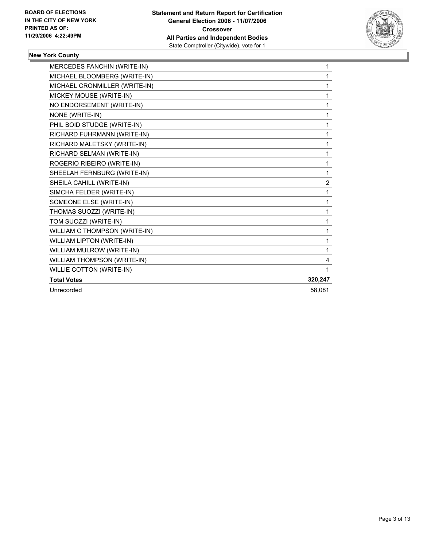

#### **New York County**

| <b>MERCEDES FANCHIN (WRITE-IN)</b> | 1              |
|------------------------------------|----------------|
| MICHAEL BLOOMBERG (WRITE-IN)       | 1              |
| MICHAEL CRONMILLER (WRITE-IN)      |                |
| MICKEY MOUSE (WRITE-IN)            |                |
| NO ENDORSEMENT (WRITE-IN)          |                |
| NONE (WRITE-IN)                    | 1              |
| PHIL BOID STUDGE (WRITE-IN)        | 1              |
| RICHARD FUHRMANN (WRITE-IN)        | 1              |
| RICHARD MALETSKY (WRITE-IN)        | 1              |
| RICHARD SELMAN (WRITE-IN)          | 1              |
| ROGERIO RIBEIRO (WRITE-IN)         |                |
| SHEELAH FERNBURG (WRITE-IN)        |                |
| SHEILA CAHILL (WRITE-IN)           | $\overline{2}$ |
| SIMCHA FELDER (WRITE-IN)           | 1              |
| SOMEONE ELSE (WRITE-IN)            |                |
| THOMAS SUOZZI (WRITE-IN)           | 1              |
| TOM SUOZZI (WRITE-IN)              | 1              |
| WILLIAM C THOMPSON (WRITE-IN)      | 1              |
| WILLIAM LIPTON (WRITE-IN)          |                |
| WILLIAM MULROW (WRITE-IN)          |                |
| WILLIAM THOMPSON (WRITE-IN)        | 4              |
| WILLIE COTTON (WRITE-IN)           |                |
| <b>Total Votes</b>                 | 320,247        |
| Unrecorded                         | 58,081         |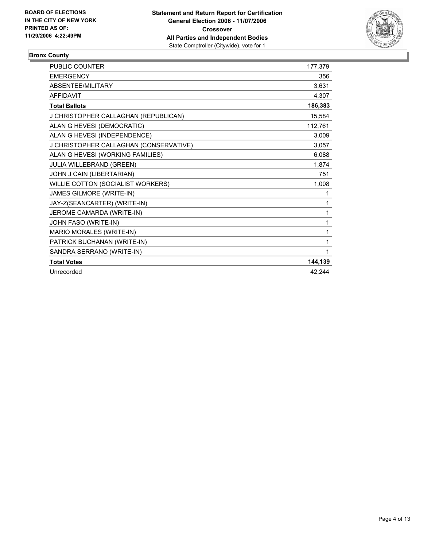

#### **Bronx County**

| <b>PUBLIC COUNTER</b>                  | 177,379 |
|----------------------------------------|---------|
| <b>EMERGENCY</b>                       | 356     |
| ABSENTEE/MILITARY                      | 3,631   |
| <b>AFFIDAVIT</b>                       | 4,307   |
| <b>Total Ballots</b>                   | 186,383 |
| J CHRISTOPHER CALLAGHAN (REPUBLICAN)   | 15,584  |
| ALAN G HEVESI (DEMOCRATIC)             | 112,761 |
| ALAN G HEVESI (INDEPENDENCE)           | 3,009   |
| J CHRISTOPHER CALLAGHAN (CONSERVATIVE) | 3,057   |
| ALAN G HEVESI (WORKING FAMILIES)       | 6,088   |
| JULIA WILLEBRAND (GREEN)               | 1,874   |
| JOHN J CAIN (LIBERTARIAN)              | 751     |
| WILLIE COTTON (SOCIALIST WORKERS)      | 1,008   |
| JAMES GILMORE (WRITE-IN)               | 1       |
| JAY-Z(SEANCARTER) (WRITE-IN)           |         |
| JEROME CAMARDA (WRITE-IN)              |         |
| JOHN FASO (WRITE-IN)                   | 1       |
| MARIO MORALES (WRITE-IN)               |         |
| PATRICK BUCHANAN (WRITE-IN)            | 1       |
| SANDRA SERRANO (WRITE-IN)              |         |
| <b>Total Votes</b>                     | 144,139 |
| Unrecorded                             | 42,244  |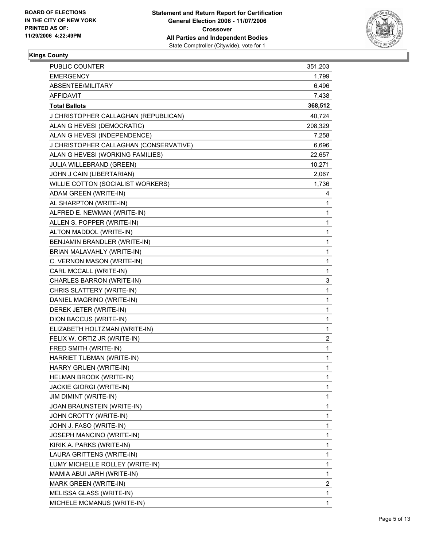

#### **Kings County**

| <b>PUBLIC COUNTER</b>                  | 351,203                 |  |
|----------------------------------------|-------------------------|--|
| <b>EMERGENCY</b>                       | 1,799                   |  |
| ABSENTEE/MILITARY                      | 6,496                   |  |
| <b>AFFIDAVIT</b>                       | 7,438                   |  |
| <b>Total Ballots</b>                   | 368,512                 |  |
| J CHRISTOPHER CALLAGHAN (REPUBLICAN)   | 40,724                  |  |
| ALAN G HEVESI (DEMOCRATIC)             | 208,329                 |  |
| ALAN G HEVESI (INDEPENDENCE)           | 7,258                   |  |
| J CHRISTOPHER CALLAGHAN (CONSERVATIVE) | 6,696                   |  |
| ALAN G HEVESI (WORKING FAMILIES)       | 22,657                  |  |
| JULIA WILLEBRAND (GREEN)               | 10,271                  |  |
| JOHN J CAIN (LIBERTARIAN)              | 2,067                   |  |
| WILLIE COTTON (SOCIALIST WORKERS)      | 1,736                   |  |
| ADAM GREEN (WRITE-IN)                  | 4                       |  |
| AL SHARPTON (WRITE-IN)                 | 1                       |  |
| ALFRED E. NEWMAN (WRITE-IN)            | 1                       |  |
| ALLEN S. POPPER (WRITE-IN)             | 1                       |  |
| ALTON MADDOL (WRITE-IN)                | 1                       |  |
| BENJAMIN BRANDLER (WRITE-IN)           | 1                       |  |
| BRIAN MALAVAHLY (WRITE-IN)             | 1                       |  |
| C. VERNON MASON (WRITE-IN)             | 1                       |  |
| CARL MCCALL (WRITE-IN)                 | 1                       |  |
| CHARLES BARRON (WRITE-IN)              | 3                       |  |
| CHRIS SLATTERY (WRITE-IN)              | 1                       |  |
| DANIEL MAGRINO (WRITE-IN)              | 1                       |  |
| DEREK JETER (WRITE-IN)                 | 1                       |  |
| DION BACCUS (WRITE-IN)                 | 1                       |  |
| ELIZABETH HOLTZMAN (WRITE-IN)          | 1                       |  |
| FELIX W. ORTIZ JR (WRITE-IN)           | $\overline{\mathbf{c}}$ |  |
| FRED SMITH (WRITE-IN)                  | 1                       |  |
| HARRIET TUBMAN (WRITE-IN)              | 1                       |  |
| HARRY GRUEN (WRITE-IN)                 | 1                       |  |
| HELMAN BROOK (WRITE-IN)                | 1                       |  |
| JACKIE GIORGI (WRITE-IN)               | 1                       |  |
| JIM DIMINT (WRITE-IN)                  | 1                       |  |
| JOAN BRAUNSTEIN (WRITE-IN)             | 1                       |  |
| JOHN CROTTY (WRITE-IN)                 | 1                       |  |
| JOHN J. FASO (WRITE-IN)                | 1                       |  |
| JOSEPH MANCINO (WRITE-IN)              | 1                       |  |
| KIRIK A. PARKS (WRITE-IN)              | 1                       |  |
| LAURA GRITTENS (WRITE-IN)              | 1                       |  |
| LUMY MICHELLE ROLLEY (WRITE-IN)        | 1                       |  |
| MAMIA ABUI JARH (WRITE-IN)             | 1                       |  |
| MARK GREEN (WRITE-IN)                  | 2                       |  |
| MELISSA GLASS (WRITE-IN)               | 1                       |  |
| MICHELE MCMANUS (WRITE-IN)             | 1                       |  |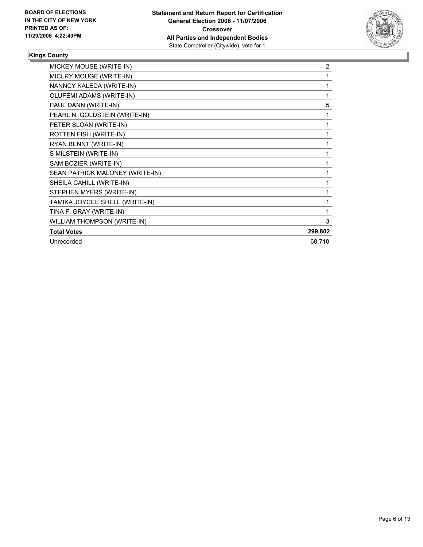

### **Kings County**

| MICKEY MOUSE (WRITE-IN)         | 2       |
|---------------------------------|---------|
| MICLRY MOUGE (WRITE-IN)         |         |
| NANNCY KALEDA (WRITE-IN)        |         |
| OLUFEMI ADAMS (WRITE-IN)        |         |
| PAUL DANN (WRITE-IN)            | 5       |
| PEARL N. GOLDSTEIN (WRITE-IN)   |         |
| PETER SLOAN (WRITE-IN)          |         |
| ROTTEN FISH (WRITE-IN)          |         |
| RYAN BENNT (WRITE-IN)           |         |
| S MILSTEIN (WRITE-IN)           |         |
| SAM BOZIER (WRITE-IN)           |         |
| SEAN PATRICK MALONEY (WRITE-IN) |         |
| SHEILA CAHILL (WRITE-IN)        |         |
| STEPHEN MYERS (WRITE-IN)        |         |
| TAMIKA JOYCEE SHELL (WRITE-IN)  |         |
| TINA F. GRAY (WRITE-IN)         |         |
| WILLIAM THOMPSON (WRITE-IN)     | 3       |
| <b>Total Votes</b>              | 299,802 |
| Unrecorded                      | 68,710  |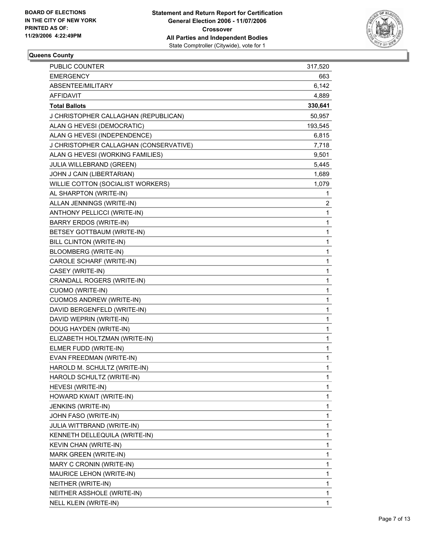

#### **Queens County**

| <b>PUBLIC COUNTER</b>                  | 317,520          |
|----------------------------------------|------------------|
| <b>EMERGENCY</b>                       | 663              |
| ABSENTEE/MILITARY                      | 6,142            |
| AFFIDAVIT                              | 4,889            |
| <b>Total Ballots</b>                   | 330,641          |
| J CHRISTOPHER CALLAGHAN (REPUBLICAN)   | 50,957           |
| ALAN G HEVESI (DEMOCRATIC)             | 193,545          |
| ALAN G HEVESI (INDEPENDENCE)           | 6,815            |
| J CHRISTOPHER CALLAGHAN (CONSERVATIVE) | 7,718            |
| ALAN G HEVESI (WORKING FAMILIES)       | 9,501            |
| JULIA WILLEBRAND (GREEN)               | 5,445            |
| JOHN J CAIN (LIBERTARIAN)              | 1,689            |
| WILLIE COTTON (SOCIALIST WORKERS)      | 1,079            |
| AL SHARPTON (WRITE-IN)                 | $\mathbf{1}$     |
| ALLAN JENNINGS (WRITE-IN)              | $\boldsymbol{2}$ |
| ANTHONY PELLICCI (WRITE-IN)            | 1                |
| BARRY ERDOS (WRITE-IN)                 | 1                |
| BETSEY GOTTBAUM (WRITE-IN)             | 1                |
| BILL CLINTON (WRITE-IN)                | 1                |
| <b>BLOOMBERG (WRITE-IN)</b>            | 1                |
| CAROLE SCHARF (WRITE-IN)               | 1                |
| CASEY (WRITE-IN)                       | 1                |
| CRANDALL ROGERS (WRITE-IN)             | 1                |
| <b>CUOMO (WRITE-IN)</b>                | 1                |
| <b>CUOMOS ANDREW (WRITE-IN)</b>        | 1                |
| DAVID BERGENFELD (WRITE-IN)            | 1                |
| DAVID WEPRIN (WRITE-IN)                | 1                |
| DOUG HAYDEN (WRITE-IN)                 | 1                |
| ELIZABETH HOLTZMAN (WRITE-IN)          | 1                |
| ELMER FUDD (WRITE-IN)                  | 1                |
| EVAN FREEDMAN (WRITE-IN)               | 1                |
| HAROLD M. SCHULTZ (WRITE-IN)           | 1                |
| HAROLD SCHULTZ (WRITE-IN)              | 1                |
| HEVESI (WRITE-IN)                      | 1                |
| HOWARD KWAIT (WRITE-IN)                | 1                |
| JENKINS (WRITE-IN)                     | 1                |
| JOHN FASO (WRITE-IN)                   | 1                |
| JULIA WITTBRAND (WRITE-IN)             | 1                |
| KENNETH DELLEQUILA (WRITE-IN)          | 1                |
| KEVIN CHAN (WRITE-IN)                  | 1                |
| MARK GREEN (WRITE-IN)                  | 1                |
| MARY C CRONIN (WRITE-IN)               | 1                |
| MAURICE LEHON (WRITE-IN)               | 1                |
| NEITHER (WRITE-IN)                     | 1                |
| NEITHER ASSHOLE (WRITE-IN)             | 1                |
| NELL KLEIN (WRITE-IN)                  | 1                |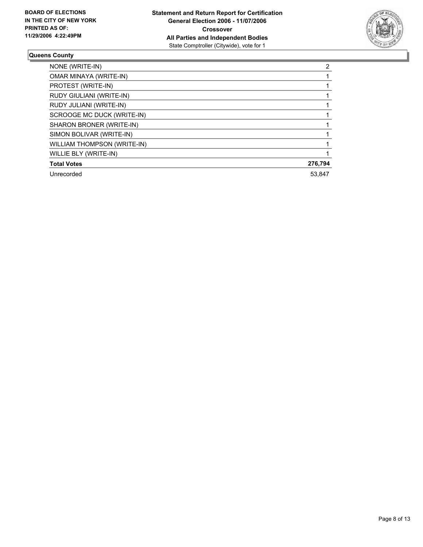

#### **Queens County**

| NONE (WRITE-IN)             | ົ       |
|-----------------------------|---------|
| OMAR MINAYA (WRITE-IN)      |         |
| PROTEST (WRITE-IN)          |         |
| RUDY GIULIANI (WRITE-IN)    |         |
| RUDY JULIANI (WRITE-IN)     |         |
| SCROOGE MC DUCK (WRITE-IN)  |         |
| SHARON BRONER (WRITE-IN)    |         |
| SIMON BOLIVAR (WRITE-IN)    |         |
| WILLIAM THOMPSON (WRITE-IN) |         |
| WILLIE BLY (WRITE-IN)       |         |
| <b>Total Votes</b>          | 276,794 |
| Unrecorded                  | 53.847  |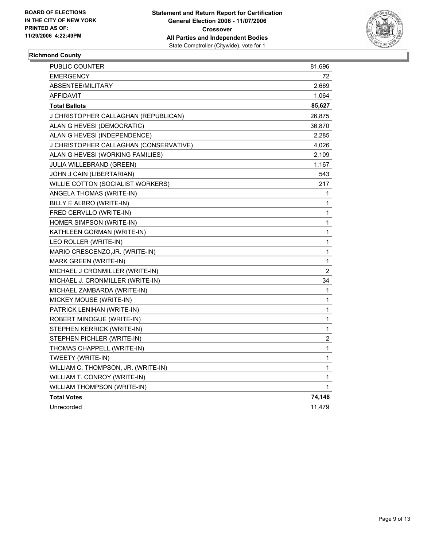

#### **Richmond County**

| <b>EMERGENCY</b><br>72                          |                         |
|-------------------------------------------------|-------------------------|
|                                                 |                         |
| ABSENTEE/MILITARY<br>2,669                      |                         |
| <b>AFFIDAVIT</b><br>1,064                       |                         |
| <b>Total Ballots</b><br>85,627                  |                         |
| J CHRISTOPHER CALLAGHAN (REPUBLICAN)<br>26,875  |                         |
| ALAN G HEVESI (DEMOCRATIC)<br>36,870            |                         |
| ALAN G HEVESI (INDEPENDENCE)<br>2,285           |                         |
| J CHRISTOPHER CALLAGHAN (CONSERVATIVE)<br>4,026 |                         |
| ALAN G HEVESI (WORKING FAMILIES)<br>2,109       |                         |
| JULIA WILLEBRAND (GREEN)<br>1,167               |                         |
| 543<br>JOHN J CAIN (LIBERTARIAN)                |                         |
| 217<br>WILLIE COTTON (SOCIALIST WORKERS)        |                         |
| ANGELA THOMAS (WRITE-IN)                        | 1                       |
| BILLY E ALBRO (WRITE-IN)                        | 1                       |
| FRED CERVLLO (WRITE-IN)                         | 1                       |
| HOMER SIMPSON (WRITE-IN)                        | 1                       |
| KATHLEEN GORMAN (WRITE-IN)                      | 1                       |
| LEO ROLLER (WRITE-IN)                           | 1                       |
| MARIO CRESCENZO, JR. (WRITE-IN)                 | 1                       |
| MARK GREEN (WRITE-IN)                           | 1                       |
| MICHAEL J CRONMILLER (WRITE-IN)                 | $\overline{c}$          |
| 34<br>MICHAEL J. CRONMILLER (WRITE-IN)          |                         |
| MICHAEL ZAMBARDA (WRITE-IN)                     | 1                       |
| MICKEY MOUSE (WRITE-IN)                         | $\mathbf{1}$            |
| PATRICK LENIHAN (WRITE-IN)                      | $\mathbf{1}$            |
| ROBERT MINOGUE (WRITE-IN)                       | 1                       |
| STEPHEN KERRICK (WRITE-IN)                      | 1                       |
| STEPHEN PICHLER (WRITE-IN)                      | $\overline{\mathbf{c}}$ |
| THOMAS CHAPPELL (WRITE-IN)                      | $\mathbf{1}$            |
| TWEETY (WRITE-IN)                               | 1                       |
| WILLIAM C. THOMPSON, JR. (WRITE-IN)             | 1                       |
| WILLIAM T. CONROY (WRITE-IN)                    | 1                       |
| WILLIAM THOMPSON (WRITE-IN)                     | 1                       |
| <b>Total Votes</b><br>74,148                    |                         |
| Unrecorded<br>11,479                            |                         |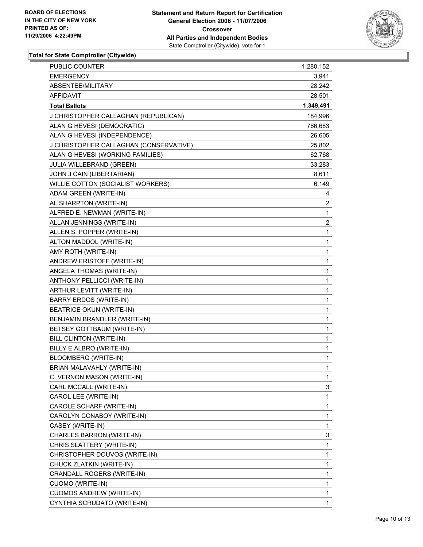

| <b>PUBLIC COUNTER</b>                  | 1,280,152               |
|----------------------------------------|-------------------------|
| <b>EMERGENCY</b>                       | 3,941                   |
| ABSENTEE/MILITARY                      | 28,242                  |
| AFFIDAVIT                              | 28,501                  |
| <b>Total Ballots</b>                   | 1,349,491               |
| J CHRISTOPHER CALLAGHAN (REPUBLICAN)   | 184,996                 |
| ALAN G HEVESI (DEMOCRATIC)             | 766,683                 |
| ALAN G HEVESI (INDEPENDENCE)           | 26,605                  |
| J CHRISTOPHER CALLAGHAN (CONSERVATIVE) | 25,802                  |
| ALAN G HEVESI (WORKING FAMILIES)       | 62,768                  |
| JULIA WILLEBRAND (GREEN)               | 33,283                  |
| JOHN J CAIN (LIBERTARIAN)              | 8,611                   |
| WILLIE COTTON (SOCIALIST WORKERS)      | 6,149                   |
| ADAM GREEN (WRITE-IN)                  | 4                       |
| AL SHARPTON (WRITE-IN)                 | $\overline{\mathbf{c}}$ |
| ALFRED E. NEWMAN (WRITE-IN)            | $\mathbf{1}$            |
| ALLAN JENNINGS (WRITE-IN)              | $\overline{\mathbf{c}}$ |
| ALLEN S. POPPER (WRITE-IN)             | 1                       |
| ALTON MADDOL (WRITE-IN)                | 1                       |
| AMY ROTH (WRITE-IN)                    | 1                       |
| ANDREW ERISTOFF (WRITE-IN)             | 1                       |
| ANGELA THOMAS (WRITE-IN)               | 1                       |
| ANTHONY PELLICCI (WRITE-IN)            | 1                       |
| ARTHUR LEVITT (WRITE-IN)               | 1                       |
| BARRY ERDOS (WRITE-IN)                 | 1                       |
| <b>BEATRICE OKUN (WRITE-IN)</b>        | 1                       |
| BENJAMIN BRANDLER (WRITE-IN)           | 1                       |
| BETSEY GOTTBAUM (WRITE-IN)             | 1                       |
| BILL CLINTON (WRITE-IN)                | 1                       |
| BILLY E ALBRO (WRITE-IN)               | 1                       |
| BLOOMBERG (WRITE-IN)                   | 1                       |
| BRIAN MALAVAHLY (WRITE-IN)             | 1                       |
| C. VERNON MASON (WRITE-IN)             | 1                       |
| CARL MCCALL (WRITE-IN)                 | 3                       |
| CAROL LEE (WRITE-IN)                   | 1                       |
| CAROLE SCHARF (WRITE-IN)               | 1                       |
| CAROLYN CONABOY (WRITE-IN)             | 1                       |
| CASEY (WRITE-IN)                       | 1                       |
| CHARLES BARRON (WRITE-IN)              | 3                       |
| CHRIS SLATTERY (WRITE-IN)              | 1                       |
| CHRISTOPHER DOUVOS (WRITE-IN)          | 1                       |
| CHUCK ZLATKIN (WRITE-IN)               | 1                       |
| CRANDALL ROGERS (WRITE-IN)             | 1                       |
| <b>CUOMO (WRITE-IN)</b>                | 1                       |
| <b>CUOMOS ANDREW (WRITE-IN)</b>        | 1                       |
| CYNTHIA SCRUDATO (WRITE-IN)            | 1                       |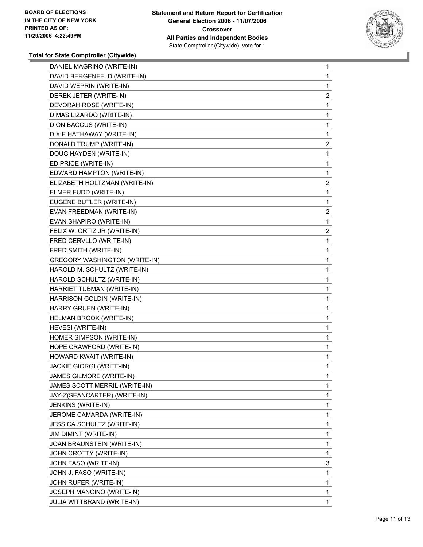

| DANIEL MAGRINO (WRITE-IN)            | 1                       |
|--------------------------------------|-------------------------|
| DAVID BERGENFELD (WRITE-IN)          | 1                       |
| DAVID WEPRIN (WRITE-IN)              | 1                       |
| DEREK JETER (WRITE-IN)               | $\overline{\mathbf{c}}$ |
| DEVORAH ROSE (WRITE-IN)              | $\mathbf{1}$            |
| DIMAS LIZARDO (WRITE-IN)             | 1                       |
| DION BACCUS (WRITE-IN)               | 1                       |
| DIXIE HATHAWAY (WRITE-IN)            | 1                       |
| DONALD TRUMP (WRITE-IN)              | $\overline{\mathbf{c}}$ |
| DOUG HAYDEN (WRITE-IN)               | 1                       |
| ED PRICE (WRITE-IN)                  | 1                       |
| EDWARD HAMPTON (WRITE-IN)            | 1                       |
| ELIZABETH HOLTZMAN (WRITE-IN)        | $\overline{\mathbf{c}}$ |
| ELMER FUDD (WRITE-IN)                | $\mathbf{1}$            |
| EUGENE BUTLER (WRITE-IN)             | 1                       |
| EVAN FREEDMAN (WRITE-IN)             | $\overline{2}$          |
| EVAN SHAPIRO (WRITE-IN)              | $\mathbf{1}$            |
| FELIX W. ORTIZ JR (WRITE-IN)         | $\overline{\mathbf{c}}$ |
| FRED CERVLLO (WRITE-IN)              | 1                       |
| FRED SMITH (WRITE-IN)                | 1                       |
| <b>GREGORY WASHINGTON (WRITE-IN)</b> | 1                       |
| HAROLD M. SCHULTZ (WRITE-IN)         | 1                       |
| HAROLD SCHULTZ (WRITE-IN)            | 1                       |
| HARRIET TUBMAN (WRITE-IN)            | 1                       |
| HARRISON GOLDIN (WRITE-IN)           | 1                       |
| HARRY GRUEN (WRITE-IN)               | 1                       |
| HELMAN BROOK (WRITE-IN)              | 1                       |
| HEVESI (WRITE-IN)                    | 1                       |
| HOMER SIMPSON (WRITE-IN)             | 1                       |
| HOPE CRAWFORD (WRITE-IN)             | 1                       |
| HOWARD KWAIT (WRITE-IN)              | 1                       |
| <b>JACKIE GIORGI (WRITE-IN)</b>      | 1                       |
| JAMES GILMORE (WRITE-IN)             | 1                       |
| JAMES SCOTT MERRIL (WRITE-IN)        | 1                       |
| JAY-Z(SEANCARTER) (WRITE-IN)         | 1                       |
| JENKINS (WRITE-IN)                   | 1                       |
| JEROME CAMARDA (WRITE-IN)            | 1                       |
| <b>JESSICA SCHULTZ (WRITE-IN)</b>    | 1                       |
| JIM DIMINT (WRITE-IN)                | 1                       |
| JOAN BRAUNSTEIN (WRITE-IN)           | 1                       |
| JOHN CROTTY (WRITE-IN)               | 1                       |
| JOHN FASO (WRITE-IN)                 | 3                       |
| JOHN J. FASO (WRITE-IN)              | 1                       |
| JOHN RUFER (WRITE-IN)                | 1                       |
| JOSEPH MANCINO (WRITE-IN)            | 1                       |
| JULIA WITTBRAND (WRITE-IN)           | 1                       |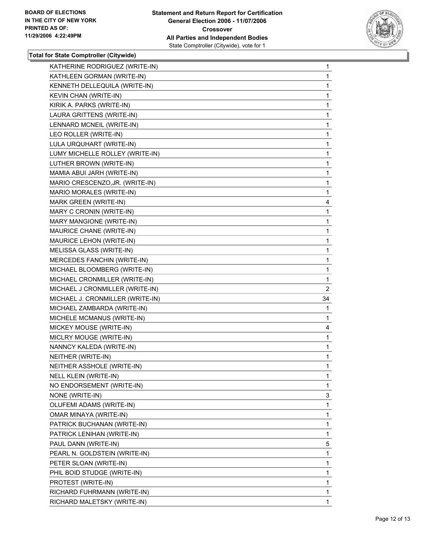

| KATHERINE RODRIGUEZ (WRITE-IN)   | $\mathbf{1}$            |
|----------------------------------|-------------------------|
| KATHLEEN GORMAN (WRITE-IN)       | 1                       |
| KENNETH DELLEQUILA (WRITE-IN)    | 1                       |
| KEVIN CHAN (WRITE-IN)            | 1                       |
| KIRIK A. PARKS (WRITE-IN)        | 1                       |
| LAURA GRITTENS (WRITE-IN)        | 1                       |
| LENNARD MCNEIL (WRITE-IN)        | 1                       |
| LEO ROLLER (WRITE-IN)            | 1                       |
| LULA URQUHART (WRITE-IN)         | 1                       |
| LUMY MICHELLE ROLLEY (WRITE-IN)  | 1                       |
| LUTHER BROWN (WRITE-IN)          | 1                       |
| MAMIA ABUI JARH (WRITE-IN)       | 1                       |
| MARIO CRESCENZO, JR. (WRITE-IN)  | 1                       |
| MARIO MORALES (WRITE-IN)         | 1                       |
| MARK GREEN (WRITE-IN)            | 4                       |
| MARY C CRONIN (WRITE-IN)         | 1                       |
| MARY MANGIONE (WRITE-IN)         | $\mathbf 1$             |
| MAURICE CHANE (WRITE-IN)         | 1                       |
| MAURICE LEHON (WRITE-IN)         | 1                       |
| MELISSA GLASS (WRITE-IN)         | 1                       |
| MERCEDES FANCHIN (WRITE-IN)      | 1                       |
| MICHAEL BLOOMBERG (WRITE-IN)     | 1                       |
| MICHAEL CRONMILLER (WRITE-IN)    | $\mathbf 1$             |
|                                  |                         |
| MICHAEL J CRONMILLER (WRITE-IN)  | $\overline{\mathbf{c}}$ |
| MICHAEL J. CRONMILLER (WRITE-IN) | 34                      |
| MICHAEL ZAMBARDA (WRITE-IN)      | 1                       |
| MICHELE MCMANUS (WRITE-IN)       | 1                       |
| MICKEY MOUSE (WRITE-IN)          | 4                       |
| MICLRY MOUGE (WRITE-IN)          | 1                       |
| NANNCY KALEDA (WRITE-IN)         | $\mathbf 1$             |
| NEITHER (WRITE-IN)               | 1                       |
| NEITHER ASSHOLE (WRITE-IN)       | 1                       |
| <b>NELL KLEIN (WRITE-IN)</b>     | $\mathbf{1}$            |
| NO ENDORSEMENT (WRITE-IN)        | 1                       |
| NONE (WRITE-IN)                  | 3                       |
| OLUFEMI ADAMS (WRITE-IN)         | 1                       |
| OMAR MINAYA (WRITE-IN)           | 1                       |
| PATRICK BUCHANAN (WRITE-IN)      | 1                       |
| PATRICK LENIHAN (WRITE-IN)       | 1                       |
| PAUL DANN (WRITE-IN)             | 5                       |
| PEARL N. GOLDSTEIN (WRITE-IN)    | 1                       |
| PETER SLOAN (WRITE-IN)           | 1                       |
| PHIL BOID STUDGE (WRITE-IN)      | 1                       |
| PROTEST (WRITE-IN)               | 1                       |
| RICHARD FUHRMANN (WRITE-IN)      | 1                       |